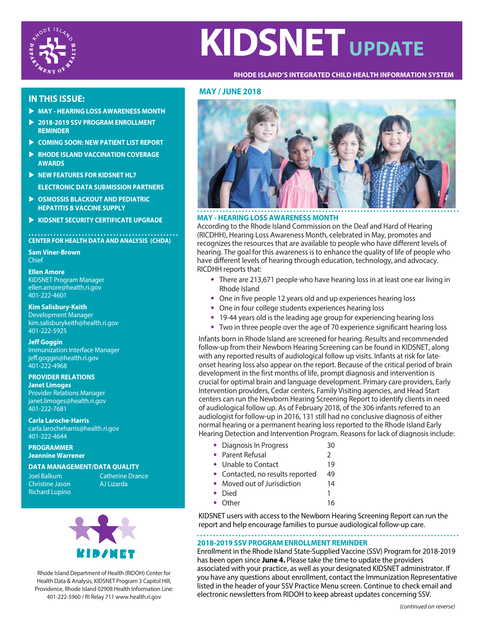

# **KIDSNET** UPDATE

#### **RHODE ISLAND'S INTEGRATED CHILD HEALTH INFORMATION SYSTEM**

# **IN THIS ISSUE:**

- **MAY HEARING LOSS AWARENESS MONTH**
- **2018-2019 SSV PROGRAM ENROLLMENT REMINDER**
- **COMING SOON: NEW PATIENT LIST REPORT**
- **RHODE ISLAND VACCINATION COVERAGE AWARDS**
- **NEW FEATURES FOR KIDSNET HL7** 
	- **ELECTRONIC DATA SUBMISSION PARTNERS**
- **EXECUTE OSMOSSIS BLACKOUT AND PEDIATRIC HEPATITIS B VACCINE SUPPLY**
- **EXIDSNET SECURITY CERTIFICATE UPGRADE**

**CENTER FOR HEALTH DATA AND ANALYSIS (CHDA)**

**Sam Viner-Brown** Chief

### **Ellen Amore**

KIDSNET Program Manager ellen.amore@health.ri.gov 401-222-4601

**Kim Salisbury-Keith** Development Manager kim.salisburykeith@health.ri.gov 401-222-5925

**Jeff Goggin** Immunization Interface Manager jeff.goggin@health.ri.gov 401-222-4968

**PROVIDER RELATIONS Janet Limoges** Provider Relations Manager janet.limoges@health.ri.gov 401-222-7681

**Carla Laroche-Harris** carla.larocheharris@health.ri.gov 401-222-4644

**PROGRAMMER Jeannine Warrener**

**DATA MANAGEMENT/DATA QUALITY**

Joel Balkum **Christine Jason** Richard Lupino Catherine Drance AJ Lizarda



Rhode Island Department of Health (RIDOH) Center for Health Data & Analysis, KIDSNET Program 3 Capitol Hill, Providence, Rhode Island 02908 Health Information Line: 401-222-5960 / RI Relay 711 www.health.ri.gov

## **MAY / JUNE 2018**



#### **MAY - HEARING LOSS AWARENESS MONTH**

According to the Rhode Island Commission on the Deaf and Hard of Hearing (RICDHH), Hearing Loss Awareness Month, celebrated in May, promotes and recognizes the resources that are available to people who have different levels of hearing. The goal for this awareness is to enhance the quality of life of people who have different levels of hearing through education, technology, and advocacy. RICDHH reports that:

- There are 213,671 people who have hearing loss in at least one ear living in Rhode Island
- One in five people 12 years old and up experiences hearing loss
- One in four college students experiences hearing loss
- 19-44 years old is the leading age group for experiencing hearing loss
- Two in three people over the age of 70 experience significant hearing loss

Infants born in Rhode Island are screened for hearing. Results and recommended follow-up from their Newborn Hearing Screening can be found in KIDSNET, along with any reported results of audiological follow up visits. Infants at risk for lateonset hearing loss also appear on the report. Because of the critical period of brain development in the first months of life, prompt diagnosis and intervention is crucial for optimal brain and language development. Primary care providers, Early Intervention providers, Cedar centers, Family Visiting agencies, and Head Start centers can run the Newborn Hearing Screening Report to identify clients in need of audiological follow up. As of February 2018, of the 306 infants referred to an audiologist for follow-up in 2016, 131 still had no conclusive diagnosis of either normal hearing or a permanent hearing loss reported to the Rhode Island Early Hearing Detection and Intervention Program. Reasons for lack of diagnosis include:

- Diagnosis In Progress 30
- Parent Refusal 2
- Unable to Contact 19 • Contacted, no results reported 49
- Moved out of Jurisdiction 14
- Died 1
- Other 16

KIDSNET users with access to the Newborn Hearing Screening Report can run the report and help encourage families to pursue audiological follow-up care.

# **2018-2019 SSV PROGRAM ENROLLMENT REMINDER**

Enrollment in the Rhode Island State-Supplied Vaccine (SSV) Program for 2018-2019 has been open since **June 4.** Please take the time to update the providers associated with your practice, as well as your designated KIDSNET administrator. If you have any questions about enrollment, contact the Immunization Representative listed in the header of your SSV Practice Menu screen. Continue to check email and electronic newsletters from RIDOH to keep abreast updates concerning SSV.